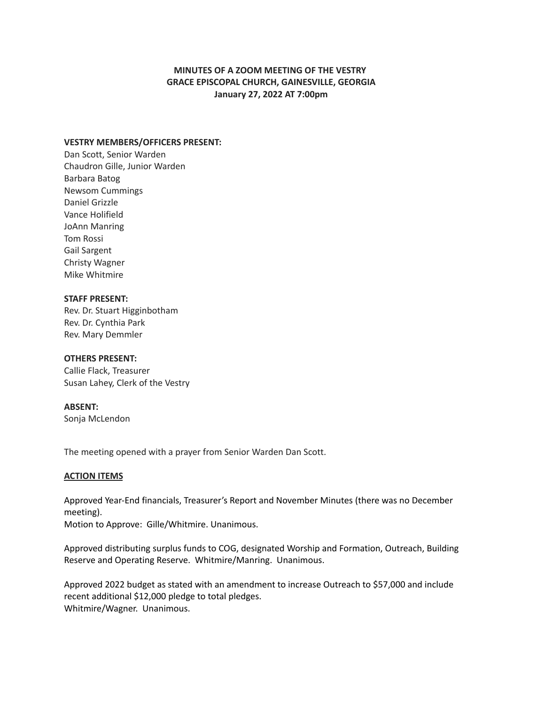# **MINUTES OF A ZOOM MEETING OF THE VESTRY GRACE EPISCOPAL CHURCH, GAINESVILLE, GEORGIA January 27, 2022 AT 7:00pm**

### **VESTRY MEMBERS/OFFICERS PRESENT:**

Dan Scott, Senior Warden Chaudron Gille, Junior Warden Barbara Batog Newsom Cummings Daniel Grizzle Vance Holifield JoAnn Manring Tom Rossi Gail Sargent Christy Wagner Mike Whitmire

#### **STAFF PRESENT:**

Rev. Dr. Stuart Higginbotham Rev. Dr. Cynthia Park Rev. Mary Demmler

## **OTHERS PRESENT:**

Callie Flack, Treasurer Susan Lahey, Clerk of the Vestry

#### **ABSENT:**

Sonja McLendon

The meeting opened with a prayer from Senior Warden Dan Scott.

#### **ACTION ITEMS**

Approved Year-End financials, Treasurer's Report and November Minutes (there was no December meeting). Motion to Approve: Gille/Whitmire. Unanimous.

Approved distributing surplus funds to COG, designated Worship and Formation, Outreach, Building Reserve and Operating Reserve. Whitmire/Manring. Unanimous.

Approved 2022 budget as stated with an amendment to increase Outreach to \$57,000 and include recent additional \$12,000 pledge to total pledges. Whitmire/Wagner. Unanimous.